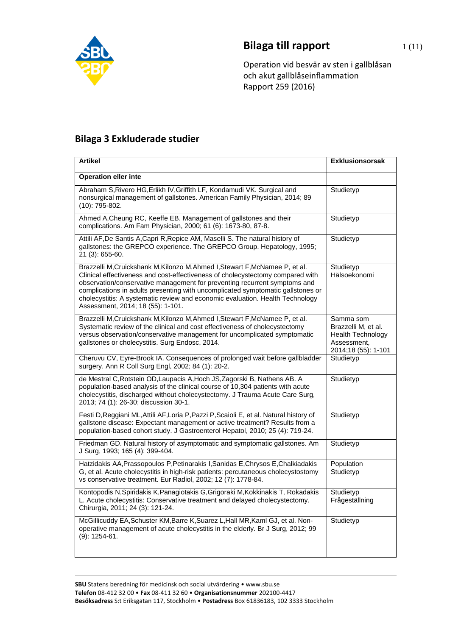

## **Bilaga till rapport** 1(11)

Operation vid besvär av sten i gallblåsan och akut gallblåseinflammation Rapport 259 (2016)

## **Bilaga 3 Exkluderade studier**

| <b>Artikel</b>                                                                                                                                                                                                                                                                                                                                                                                                                                       | <b>Exklusionsorsak</b>                                                                             |
|------------------------------------------------------------------------------------------------------------------------------------------------------------------------------------------------------------------------------------------------------------------------------------------------------------------------------------------------------------------------------------------------------------------------------------------------------|----------------------------------------------------------------------------------------------------|
| <b>Operation eller inte</b>                                                                                                                                                                                                                                                                                                                                                                                                                          |                                                                                                    |
| Abraham S, Rivero HG, Erlikh IV, Griffith LF, Kondamudi VK. Surgical and<br>nonsurgical management of gallstones. American Family Physician, 2014; 89<br>$(10): 795-802.$                                                                                                                                                                                                                                                                            | Studietyp                                                                                          |
| Ahmed A, Cheung RC, Keeffe EB. Management of gallstones and their<br>complications. Am Fam Physician, 2000; 61 (6): 1673-80, 87-8.                                                                                                                                                                                                                                                                                                                   | Studietyp                                                                                          |
| Attili AF, De Santis A, Capri R, Repice AM, Maselli S. The natural history of<br>gallstones: the GREPCO experience. The GREPCO Group. Hepatology, 1995;<br>21 (3): 655-60.                                                                                                                                                                                                                                                                           | Studietyp                                                                                          |
| Brazzelli M, Cruickshank M, Kilonzo M, Ahmed I, Stewart F, McNamee P, et al.<br>Clinical effectiveness and cost-effectiveness of cholecystectomy compared with<br>observation/conservative management for preventing recurrent symptoms and<br>complications in adults presenting with uncomplicated symptomatic gallstones or<br>cholecystitis: A systematic review and economic evaluation. Health Technology<br>Assessment, 2014; 18 (55): 1-101. | Studietyp<br>Hälsoekonomi                                                                          |
| Brazzelli M, Cruickshank M, Kilonzo M, Ahmed I, Stewart F, McNamee P, et al.<br>Systematic review of the clinical and cost effectiveness of cholecystectomy<br>versus observation/conservative management for uncomplicated symptomatic<br>gallstones or cholecystitis. Surg Endosc, 2014.                                                                                                                                                           | Samma som<br>Brazzelli M, et al.<br><b>Health Technology</b><br>Assessment,<br>2014;18 (55): 1-101 |
| Cheruvu CV, Eyre-Brook IA. Consequences of prolonged wait before gallbladder<br>surgery. Ann R Coll Surg Engl, 2002; 84 (1): 20-2.                                                                                                                                                                                                                                                                                                                   | Studietyp                                                                                          |
| de Mestral C, Rotstein OD, Laupacis A, Hoch JS, Zagorski B, Nathens AB. A<br>population-based analysis of the clinical course of 10,304 patients with acute<br>cholecystitis, discharged without cholecystectomy. J Trauma Acute Care Surg,<br>2013; 74 (1): 26-30; discussion 30-1.                                                                                                                                                                 | Studietyp                                                                                          |
| Festi D, Reggiani ML, Attili AF, Loria P, Pazzi P, Scaioli E, et al. Natural history of<br>gallstone disease: Expectant management or active treatment? Results from a<br>population-based cohort study. J Gastroenterol Hepatol, 2010; 25 (4): 719-24.                                                                                                                                                                                              | Studietyp                                                                                          |
| Friedman GD. Natural history of asymptomatic and symptomatic gallstones. Am<br>J Surg, 1993; 165 (4): 399-404.                                                                                                                                                                                                                                                                                                                                       | Studietyp                                                                                          |
| Hatzidakis AA, Prassopoulos P, Petinarakis I, Sanidas E, Chrysos E, Chalkiadakis<br>G, et al. Acute cholecystitis in high-risk patients: percutaneous cholecystostomy<br>vs conservative treatment. Eur Radiol, 2002; 12 (7): 1778-84.                                                                                                                                                                                                               | Population<br>Studietyp                                                                            |
| Kontopodis N, Spiridakis K, Panagiotakis G, Grigoraki M, Kokkinakis T, Rokadakis<br>L. Acute cholecystitis: Conservative treatment and delayed cholecystectomy.<br>Chirurgia, 2011; 24 (3): 121-24.                                                                                                                                                                                                                                                  | Studietyp<br>Frågeställning                                                                        |
| McGillicuddy EA, Schuster KM, Barre K, Suarez L, Hall MR, Kaml GJ, et al. Non-<br>operative management of acute cholecystitis in the elderly. Br J Surg, 2012; 99<br>$(9)$ : 1254-61.                                                                                                                                                                                                                                                                | Studietyp                                                                                          |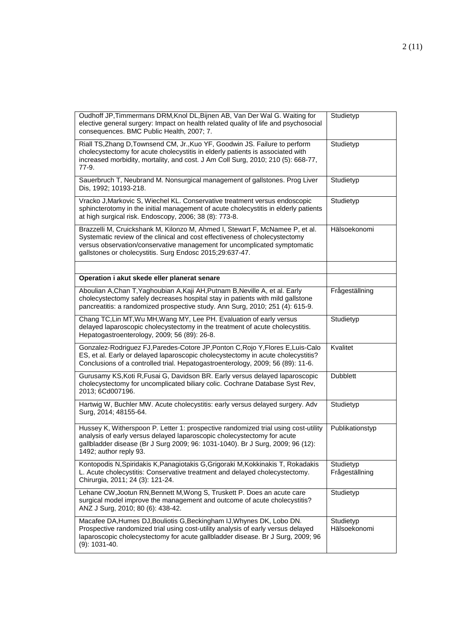| Oudhoff JP, Timmermans DRM, Knol DL, Bijnen AB, Van Der Wal G. Waiting for<br>elective general surgery: Impact on health related quality of life and psychosocial<br>consequences. BMC Public Health, 2007; 7.                                                                                      | Studietyp                   |
|-----------------------------------------------------------------------------------------------------------------------------------------------------------------------------------------------------------------------------------------------------------------------------------------------------|-----------------------------|
| Riall TS, Zhang D, Townsend CM, Jr., Kuo YF, Goodwin JS. Failure to perform<br>cholecystectomy for acute cholecystitis in elderly patients is associated with<br>increased morbidity, mortality, and cost. J Am Coll Surg, 2010; 210 (5): 668-77,<br>77-9.                                          | Studietyp                   |
| Sauerbruch T, Neubrand M. Nonsurgical management of gallstones. Prog Liver<br>Dis, 1992; 10193-218.                                                                                                                                                                                                 | Studietyp                   |
| Vracko J, Markovic S, Wiechel KL. Conservative treatment versus endoscopic<br>sphincterotomy in the initial management of acute cholecystitis in elderly patients<br>at high surgical risk. Endoscopy, 2006; 38 (8): 773-8.                                                                         | Studietyp                   |
| Brazzelli M, Cruickshank M, Kilonzo M, Ahmed I, Stewart F, McNamee P, et al.<br>Systematic review of the clinical and cost effectiveness of cholecystectomy<br>versus observation/conservative management for uncomplicated symptomatic<br>gallstones or cholecystitis. Surg Endosc 2015;29:637-47. | Hälsoekonomi                |
|                                                                                                                                                                                                                                                                                                     |                             |
| Operation i akut skede eller planerat senare                                                                                                                                                                                                                                                        |                             |
| Aboulian A, Chan T, Yaghoubian A, Kaji AH, Putnam B, Neville A, et al. Early<br>cholecystectomy safely decreases hospital stay in patients with mild gallstone<br>pancreatitis: a randomized prospective study. Ann Surg, 2010; 251 (4): 615-9.                                                     | Frågeställning              |
| Chang TC, Lin MT, Wu MH, Wang MY, Lee PH. Evaluation of early versus<br>delayed laparoscopic cholecystectomy in the treatment of acute cholecystitis.<br>Hepatogastroenterology, 2009; 56 (89): 26-8.                                                                                               | Studietyp                   |
| Gonzalez-Rodriguez FJ, Paredes-Cotore JP, Ponton C, Rojo Y, Flores E, Luis-Calo<br>ES, et al. Early or delayed laparoscopic cholecystectomy in acute cholecystitis?<br>Conclusions of a controlled trial. Hepatogastroenterology, 2009; 56 (89): 11-6.                                              | Kvalitet                    |
| Gurusamy KS, Koti R, Fusai G, Davidson BR. Early versus delayed laparoscopic<br>cholecystectomy for uncomplicated biliary colic. Cochrane Database Syst Rev,<br>2013; 6Cd007196.                                                                                                                    | <b>Dubblett</b>             |
| Hartwig W, Buchler MW. Acute cholecystitis: early versus delayed surgery. Adv<br>Surg, 2014; 48155-64.                                                                                                                                                                                              | Studietyp                   |
| Hussey K, Witherspoon P. Letter 1: prospective randomized trial using cost-utility<br>analysis of early versus delayed laparoscopic cholecystectomy for acute<br>gallbladder disease (Br J Surg 2009; 96: 1031-1040). Br J Surg, 2009; 96 (12):<br>1492; author reply 93.                           | Publikationstyp             |
| Kontopodis N, Spiridakis K, Panagiotakis G, Grigoraki M, Kokkinakis T, Rokadakis<br>L. Acute cholecystitis: Conservative treatment and delayed cholecystectomy.<br>Chirurgia, 2011; 24 (3): 121-24.                                                                                                 | Studietyp<br>Frågeställning |
| Lehane CW, Jootun RN, Bennett M, Wong S, Truskett P. Does an acute care<br>surgical model improve the management and outcome of acute cholecystitis?<br>ANZ J Surg, 2010; 80 (6): 438-42.                                                                                                           | Studietyp                   |
| Macafee DA, Humes DJ, Bouliotis G, Beckingham IJ, Whynes DK, Lobo DN.<br>Prospective randomized trial using cost-utility analysis of early versus delayed<br>laparoscopic cholecystectomy for acute gallbladder disease. Br J Surg, 2009; 96<br>$(9)$ : 1031-40.                                    | Studietyp<br>Hälsoekonomi   |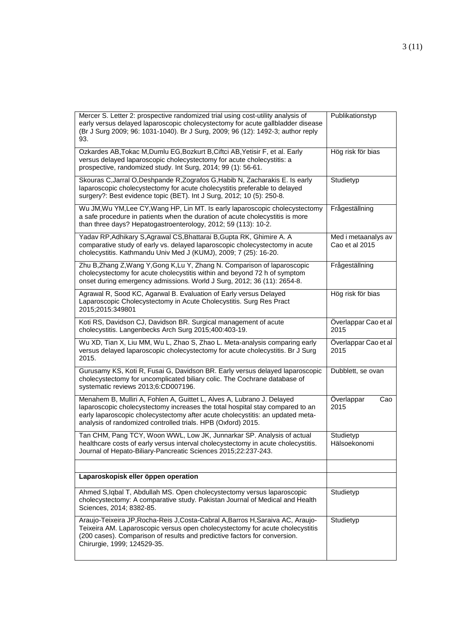| Mercer S. Letter 2: prospective randomized trial using cost-utility analysis of<br>early versus delayed laparoscopic cholecystectomy for acute gallbladder disease<br>(Br J Surg 2009; 96: 1031-1040). Br J Surg, 2009; 96 (12): 1492-3; author reply<br>93.                                              | Publikationstyp                       |
|-----------------------------------------------------------------------------------------------------------------------------------------------------------------------------------------------------------------------------------------------------------------------------------------------------------|---------------------------------------|
| Ozkardes AB, Tokac M, Dumlu EG, Bozkurt B, Ciftci AB, Yetisir F, et al. Early<br>versus delayed laparoscopic cholecystectomy for acute cholecystitis: a<br>prospective, randomized study. Int Surg, 2014; 99 (1): 56-61.                                                                                  | Hög risk för bias                     |
| Skouras C, Jarral O, Deshpande R, Zografos G, Habib N, Zacharakis E. Is early<br>laparoscopic cholecystectomy for acute cholecystitis preferable to delayed<br>surgery?: Best evidence topic (BET). Int J Surg, 2012; 10 (5): 250-8.                                                                      | Studietyp                             |
| Wu JM, Wu YM, Lee CY, Wang HP, Lin MT. Is early laparoscopic cholecystectomy<br>a safe procedure in patients when the duration of acute cholecystitis is more<br>than three days? Hepatogastroenterology, 2012; 59 (113): 10-2.                                                                           | Frågeställning                        |
| Yadav RP, Adhikary S, Agrawal CS, Bhattarai B, Gupta RK, Ghimire A. A<br>comparative study of early vs. delayed laparoscopic cholecystectomy in acute<br>cholecystitis. Kathmandu Univ Med J (KUMJ), 2009; 7 (25): 16-20.                                                                                 | Med i metaanalys av<br>Cao et al 2015 |
| Zhu B, Zhang Z, Wang Y, Gong K, Lu Y, Zhang N. Comparison of laparoscopic<br>cholecystectomy for acute cholecystitis within and beyond 72 h of symptom<br>onset during emergency admissions. World J Surg, 2012; 36 (11): 2654-8.                                                                         | Frågeställning                        |
| Agrawal R, Sood KC, Agarwal B. Evaluation of Early versus Delayed<br>Laparoscopic Cholecystectomy in Acute Cholecystitis. Surg Res Pract<br>2015;2015:349801                                                                                                                                              | Hög risk för bias                     |
| Koti RS, Davidson CJ, Davidson BR. Surgical management of acute<br>cholecystitis. Langenbecks Arch Surg 2015;400:403-19.                                                                                                                                                                                  | Överlappar Cao et al<br>2015          |
| Wu XD, Tian X, Liu MM, Wu L, Zhao S, Zhao L. Meta-analysis comparing early<br>versus delayed laparoscopic cholecystectomy for acute cholecystitis. Br J Surg<br>2015.                                                                                                                                     | Överlappar Cao et al<br>2015          |
| Gurusamy KS, Koti R, Fusai G, Davidson BR. Early versus delayed laparoscopic<br>cholecystectomy for uncomplicated biliary colic. The Cochrane database of<br>systematic reviews 2013;6:CD007196.                                                                                                          | Dubblett, se ovan                     |
| Menahem B, Mulliri A, Fohlen A, Guittet L, Alves A, Lubrano J. Delayed<br>laparoscopic cholecystectomy increases the total hospital stay compared to an<br>early laparoscopic cholecystectomy after acute cholecystitis: an updated meta-<br>analysis of randomized controlled trials. HPB (Oxford) 2015. | Overlappar<br>Cao<br>2015             |
| Tan CHM, Pang TCY, Woon WWL, Low JK, Junnarkar SP. Analysis of actual<br>healthcare costs of early versus interval cholecystectomy in acute cholecystitis.<br>Journal of Hepato-Biliary-Pancreatic Sciences 2015;22:237-243.                                                                              | Studietyp<br>Hälsoekonomi             |
|                                                                                                                                                                                                                                                                                                           |                                       |
| Laparoskopisk eller öppen operation                                                                                                                                                                                                                                                                       |                                       |
| Ahmed S, Iqbal T, Abdullah MS. Open cholecystectomy versus laparoscopic<br>cholecystectomy: A comparative study. Pakistan Journal of Medical and Health<br>Sciences, 2014; 8382-85.                                                                                                                       | Studietyp                             |
| Araujo-Teixeira JP, Rocha-Reis J, Costa-Cabral A, Barros H, Saraiva AC, Araujo-<br>Teixeira AM. Laparoscopic versus open cholecystectomy for acute cholecystitis<br>(200 cases). Comparison of results and predictive factors for conversion.<br>Chirurgie, 1999; 124529-35.                              | Studietyp                             |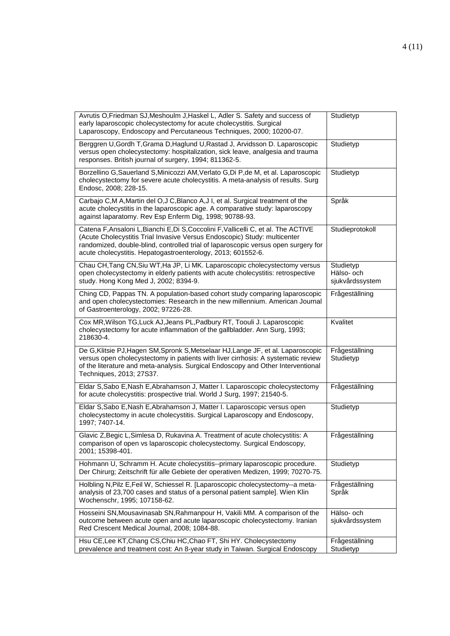| Avrutis O, Friedman SJ, Meshoulm J, Haskel L, Adler S. Safety and success of<br>early laparoscopic cholecystectomy for acute cholecystitis. Surgical<br>Laparoscopy, Endoscopy and Percutaneous Techniques, 2000; 10200-07.                                                                                            | Studietyp                                  |
|------------------------------------------------------------------------------------------------------------------------------------------------------------------------------------------------------------------------------------------------------------------------------------------------------------------------|--------------------------------------------|
| Berggren U, Gordh T, Grama D, Haglund U, Rastad J, Arvidsson D. Laparoscopic<br>versus open cholecystectomy: hospitalization, sick leave, analgesia and trauma<br>responses. British journal of surgery, 1994; 811362-5.                                                                                               | Studietyp                                  |
| Borzellino G, Sauerland S, Minicozzi AM, Verlato G, Di P, de M, et al. Laparoscopic<br>cholecystectomy for severe acute cholecystitis. A meta-analysis of results. Surg<br>Endosc, 2008; 228-15.                                                                                                                       | Studietyp                                  |
| Carbajo C,M A, Martin del O,J C, Blanco A, J I, et al. Surgical treatment of the<br>acute cholecystitis in the laparoscopic age. A comparative study: laparoscopy<br>against laparatomy. Rev Esp Enferm Dig, 1998; 90788-93.                                                                                           | Språk                                      |
| Catena F, Ansaloni L, Bianchi E, Di S, Coccolini F, Vallicelli C, et al. The ACTIVE<br>(Acute Cholecystitis Trial Invasive Versus Endoscopic) Study: multicenter<br>randomized, double-blind, controlled trial of laparoscopic versus open surgery for<br>acute cholecystitis. Hepatogastroenterology, 2013; 601552-6. | Studieprotokoll                            |
| Chau CH, Tang CN, Siu WT, Ha JP, Li MK. Laparoscopic cholecystectomy versus<br>open cholecystectomy in elderly patients with acute cholecystitis: retrospective<br>study. Hong Kong Med J, 2002; 8394-9.                                                                                                               | Studietyp<br>Hälso- och<br>sjukvårdssystem |
| Ching CD, Pappas TN. A population-based cohort study comparing laparoscopic<br>and open cholecystectomies: Research in the new millennium. American Journal<br>of Gastroenterology, 2002; 97226-28.                                                                                                                    | Frågeställning                             |
| Cox MR, Wilson TG, Luck AJ, Jeans PL, Padbury RT, Toouli J. Laparoscopic<br>cholecystectomy for acute inflammation of the gallbladder. Ann Surg, 1993;<br>218630-4.                                                                                                                                                    | Kvalitet                                   |
| De G, Klitsie PJ, Hagen SM, Spronk S, Metselaar HJ, Lange JF, et al. Laparoscopic<br>versus open cholecystectomy in patients with liver cirrhosis: A systematic review<br>of the literature and meta-analysis. Surgical Endoscopy and Other Interventional<br>Techniques, 2013; 27S37.                                 | Frågeställning<br>Studietyp                |
| Eldar S, Sabo E, Nash E, Abrahamson J, Matter I. Laparoscopic cholecystectomy<br>for acute cholecystitis: prospective trial. World J Surg, 1997; 21540-5.                                                                                                                                                              | Frågeställning                             |
| Eldar S, Sabo E, Nash E, Abrahamson J, Matter I. Laparoscopic versus open<br>cholecystectomy in acute cholecystitis. Surgical Laparoscopy and Endoscopy,<br>1997; 7407-14.                                                                                                                                             | Studietyp                                  |
| Glavic Z, Begic L, Simlesa D, Rukavina A. Treatment of acute cholecystitis: A<br>comparison of open vs laparoscopic cholecystectomy. Surgical Endoscopy,<br>2001; 15398-401.                                                                                                                                           | Frågeställning                             |
| Hohmann U, Schramm H. Acute cholecystitis--primary laparoscopic procedure.<br>Der Chirurg; Zeitschrift für alle Gebiete der operativen Medizen, 1999; 70270-75.                                                                                                                                                        | Studietyp                                  |
| Holbling N, Pilz E, Feil W, Schiessel R. [Laparoscopic cholecystectomy--a meta-<br>analysis of 23,700 cases and status of a personal patient sample]. Wien Klin<br>Wochenschr, 1995; 107158-62.                                                                                                                        | Frågeställning<br>Språk                    |
| Hosseini SN, Mousavinasab SN, Rahmanpour H, Vakili MM. A comparison of the<br>outcome between acute open and acute laparoscopic cholecystectomy. Iranian<br>Red Crescent Medical Journal, 2008; 1084-88.                                                                                                               | Hälso- och<br>sjukvårdssystem              |
| Hsu CE, Lee KT, Chang CS, Chiu HC, Chao FT, Shi HY. Cholecystectomy<br>prevalence and treatment cost: An 8-year study in Taiwan. Surgical Endoscopy                                                                                                                                                                    | Frågeställning<br>Studietyp                |
|                                                                                                                                                                                                                                                                                                                        |                                            |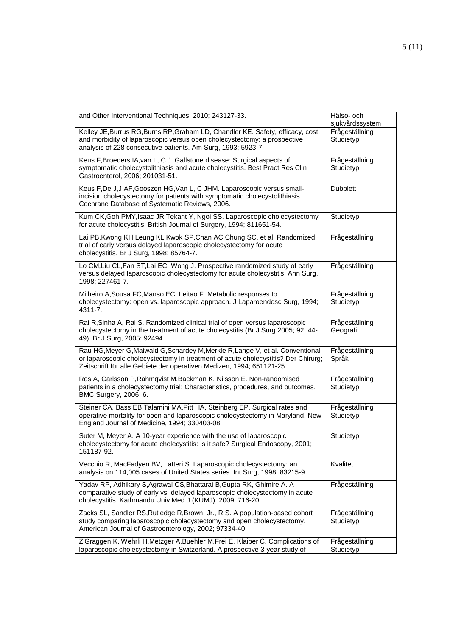| and Other Interventional Techniques, 2010; 243127-33.                                                                                                                                                                                        | Hälso- och<br>sjukvårdssystem |
|----------------------------------------------------------------------------------------------------------------------------------------------------------------------------------------------------------------------------------------------|-------------------------------|
| Kelley JE, Burrus RG, Burns RP, Graham LD, Chandler KE. Safety, efficacy, cost,<br>and morbidity of laparoscopic versus open cholecystectomy: a prospective<br>analysis of 228 consecutive patients. Am Surg, 1993; 5923-7.                  | Frågeställning<br>Studietyp   |
| Keus F, Broeders IA, van L, C J. Gallstone disease: Surgical aspects of<br>symptomatic cholecystolithiasis and acute cholecystitis. Best Pract Res Clin<br>Gastroenterol, 2006; 201031-51.                                                   | Frågeställning<br>Studietyp   |
| Keus F, De J, J AF, Gooszen HG, Van L, C JHM. Laparoscopic versus small-<br>incision cholecystectomy for patients with symptomatic cholecystolithiasis.<br>Cochrane Database of Systematic Reviews, 2006.                                    | <b>Dubblett</b>               |
| Kum CK, Goh PMY, Isaac JR, Tekant Y, Ngoi SS. Laparoscopic cholecystectomy<br>for acute cholecystitis. British Journal of Surgery, 1994; 811651-54.                                                                                          | Studietyp                     |
| Lai PB, Kwong KH, Leung KL, Kwok SP, Chan AC, Chung SC, et al. Randomized<br>trial of early versus delayed laparoscopic cholecystectomy for acute<br>cholecystitis. Br J Surg, 1998; 85764-7.                                                | Frågeställning                |
| Lo CM, Liu CL, Fan ST, Lai EC, Wong J. Prospective randomized study of early<br>versus delayed laparoscopic cholecystectomy for acute cholecystitis. Ann Surg,<br>1998; 227461-7.                                                            | Frågeställning                |
| Milheiro A, Sousa FC, Manso EC, Leitao F. Metabolic responses to<br>cholecystectomy: open vs. laparoscopic approach. J Laparoendosc Surg, 1994;<br>4311-7.                                                                                   | Frågeställning<br>Studietyp   |
| Rai R, Sinha A, Rai S. Randomized clinical trial of open versus laparoscopic<br>cholecystectomy in the treatment of acute cholecystitis (Br J Surg 2005; 92: 44-<br>49). Br J Surg, 2005; 92494.                                             | Frågeställning<br>Geografi    |
| Rau HG, Meyer G, Maiwald G, Schardey M, Merkle R, Lange V, et al. Conventional<br>or laparoscopic cholecystectomy in treatment of acute cholecystitis? Der Chirurg;<br>Zeitschrift für alle Gebiete der operativen Medizen, 1994; 651121-25. | Frågeställning<br>Språk       |
| Ros A, Carlsson P, Rahmqvist M, Backman K, Nilsson E. Non-randomised<br>patients in a cholecystectomy trial: Characteristics, procedures, and outcomes.<br>BMC Surgery, 2006; 6.                                                             | Frågeställning<br>Studietyp   |
| Steiner CA, Bass EB, Talamini MA, Pitt HA, Steinberg EP. Surgical rates and<br>operative mortality for open and laparoscopic cholecystectomy in Maryland. New<br>England Journal of Medicine, 1994; 330403-08.                               | Frågeställning<br>Studietyp   |
| Suter M, Meyer A. A 10-year experience with the use of laparoscopic<br>cholecystectomy for acute cholecystitis: Is it safe? Surgical Endoscopy, 2001;<br>151187-92.                                                                          | Studietyp                     |
| Vecchio R, MacFadyen BV, Latteri S. Laparoscopic cholecystectomy: an<br>analysis on 114,005 cases of United States series. Int Surg, 1998; 83215-9.                                                                                          | Kvalitet                      |
| Yadav RP, Adhikary S, Agrawal CS, Bhattarai B, Gupta RK, Ghimire A. A<br>comparative study of early vs. delayed laparoscopic cholecystectomy in acute<br>cholecystitis. Kathmandu Univ Med J (KUMJ), 2009; 716-20.                           | Frågeställning                |
| Zacks SL, Sandler RS, Rutledge R, Brown, Jr., R S. A population-based cohort<br>study comparing laparoscopic cholecystectomy and open cholecystectomy.<br>American Journal of Gastroenterology, 2002; 97334-40.                              | Frågeställning<br>Studietyp   |
| Z'Graggen K, Wehrli H, Metzger A, Buehler M, Frei E, Klaiber C. Complications of<br>laparoscopic cholecystectomy in Switzerland. A prospective 3-year study of                                                                               | Frågeställning<br>Studietyp   |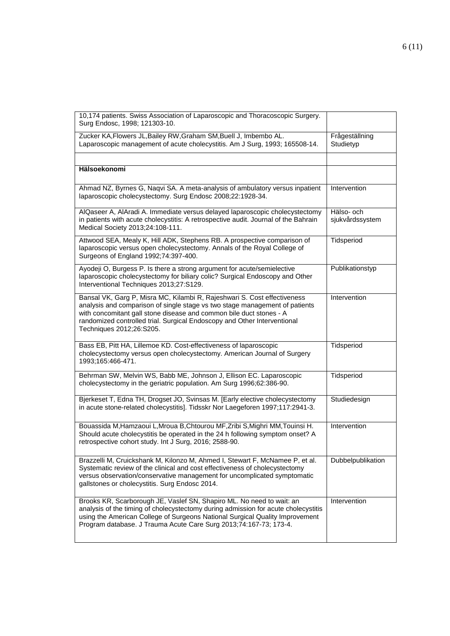| 10,174 patients. Swiss Association of Laparoscopic and Thoracoscopic Surgery.<br>Surg Endosc, 1998; 121303-10.                                                                                                                                                                                                                         |                               |
|----------------------------------------------------------------------------------------------------------------------------------------------------------------------------------------------------------------------------------------------------------------------------------------------------------------------------------------|-------------------------------|
| Zucker KA, Flowers JL, Bailey RW, Graham SM, Buell J, Imbembo AL.<br>Laparoscopic management of acute cholecystitis. Am J Surg, 1993; 165508-14.                                                                                                                                                                                       | Frågeställning<br>Studietyp   |
|                                                                                                                                                                                                                                                                                                                                        |                               |
| Hälsoekonomi                                                                                                                                                                                                                                                                                                                           |                               |
| Ahmad NZ, Byrnes G, Naqvi SA. A meta-analysis of ambulatory versus inpatient<br>laparoscopic cholecystectomy. Surg Endosc 2008;22:1928-34.                                                                                                                                                                                             | Intervention                  |
| AlQaseer A, AlAradi A. Immediate versus delayed laparoscopic cholecystectomy<br>in patients with acute cholecystitis: A retrospective audit. Journal of the Bahrain<br>Medical Society 2013;24:108-111.                                                                                                                                | Hälso- och<br>sjukvårdssystem |
| Attwood SEA, Mealy K, Hill ADK, Stephens RB. A prospective comparison of<br>laparoscopic versus open cholecystectomy. Annals of the Royal College of<br>Surgeons of England 1992;74:397-400.                                                                                                                                           | Tidsperiod                    |
| Ayodeji O, Burgess P. Is there a strong argument for acute/semielective<br>laparoscopic cholecystectomy for biliary colic? Surgical Endoscopy and Other<br>Interventional Techniques 2013;27:S129.                                                                                                                                     | Publikationstyp               |
| Bansal VK, Garg P, Misra MC, Kilambi R, Rajeshwari S. Cost effectiveness<br>analysis and comparison of single stage vs two stage management of patients<br>with concomitant gall stone disease and common bile duct stones - A<br>randomized controlled trial. Surgical Endoscopy and Other Interventional<br>Techniques 2012;26:S205. | Intervention                  |
| Bass EB, Pitt HA, Lillemoe KD. Cost-effectiveness of laparoscopic<br>cholecystectomy versus open cholecystectomy. American Journal of Surgery<br>1993;165:466-471.                                                                                                                                                                     | Tidsperiod                    |
| Behrman SW, Melvin WS, Babb ME, Johnson J, Ellison EC. Laparoscopic<br>cholecystectomy in the geriatric population. Am Surg 1996;62:386-90.                                                                                                                                                                                            | Tidsperiod                    |
| Bjerkeset T, Edna TH, Drogset JO, Svinsas M. [Early elective cholecystectomy<br>in acute stone-related cholecystitis]. Tidsskr Nor Laegeforen 1997;117:2941-3.                                                                                                                                                                         | Studiedesign                  |
| Bouassida M, Hamzaoui L, Mroua B, Chtourou MF, Zribi S, Mighri MM, Touinsi H.<br>Should acute cholecystitis be operated in the 24 h following symptom onset? A<br>retrospective cohort study. Int J Surg, 2016; 2588-90.                                                                                                               | Intervention                  |
| Brazzelli M, Cruickshank M, Kilonzo M, Ahmed I, Stewart F, McNamee P, et al.<br>Systematic review of the clinical and cost effectiveness of cholecystectomy<br>versus observation/conservative management for uncomplicated symptomatic<br>gallstones or cholecystitis. Surg Endosc 2014.                                              | Dubbelpublikation             |
| Brooks KR, Scarborough JE, Vaslef SN, Shapiro ML. No need to wait: an<br>analysis of the timing of cholecystectomy during admission for acute cholecystitis<br>using the American College of Surgeons National Surgical Quality Improvement<br>Program database. J Trauma Acute Care Surg 2013;74:167-73; 173-4.                       | Intervention                  |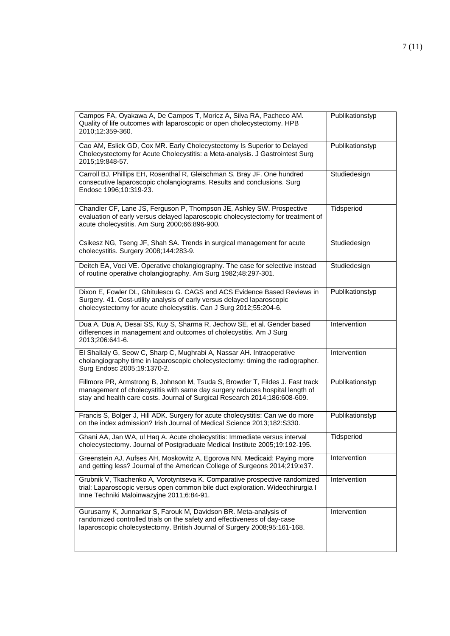| Campos FA, Oyakawa A, De Campos T, Moricz A, Silva RA, Pacheco AM.<br>Quality of life outcomes with laparoscopic or open cholecystectomy. HPB<br>2010;12:359-360.                                                                           | Publikationstyp |
|---------------------------------------------------------------------------------------------------------------------------------------------------------------------------------------------------------------------------------------------|-----------------|
| Cao AM, Eslick GD, Cox MR. Early Cholecystectomy Is Superior to Delayed<br>Cholecystectomy for Acute Cholecystitis: a Meta-analysis. J Gastrointest Surg<br>2015;19:848-57.                                                                 | Publikationstyp |
| Carroll BJ, Phillips EH, Rosenthal R, Gleischman S, Bray JF. One hundred<br>consecutive laparoscopic cholangiograms. Results and conclusions. Surg<br>Endosc 1996;10:319-23.                                                                | Studiedesign    |
| Chandler CF, Lane JS, Ferguson P, Thompson JE, Ashley SW. Prospective<br>evaluation of early versus delayed laparoscopic cholecystectomy for treatment of<br>acute cholecystitis. Am Surg 2000;66:896-900.                                  | Tidsperiod      |
| Csikesz NG, Tseng JF, Shah SA. Trends in surgical management for acute<br>cholecystitis. Surgery 2008;144:283-9.                                                                                                                            | Studiedesign    |
| Deitch EA, Voci VE. Operative cholangiography. The case for selective instead<br>of routine operative cholangiography. Am Surg 1982;48:297-301.                                                                                             | Studiedesign    |
| Dixon E, Fowler DL, Ghitulescu G. CAGS and ACS Evidence Based Reviews in<br>Surgery. 41. Cost-utility analysis of early versus delayed laparoscopic<br>cholecystectomy for acute cholecystitis. Can J Surg 2012;55:204-6.                   | Publikationstyp |
| Dua A, Dua A, Desai SS, Kuy S, Sharma R, Jechow SE, et al. Gender based<br>differences in management and outcomes of cholecystitis. Am J Surg<br>2013;206:641-6.                                                                            | Intervention    |
| El Shallaly G, Seow C, Sharp C, Mughrabi A, Nassar AH. Intraoperative<br>cholangiography time in laparoscopic cholecystectomy: timing the radiographer.<br>Surg Endosc 2005;19:1370-2.                                                      | Intervention    |
| Fillmore PR, Armstrong B, Johnson M, Tsuda S, Browder T, Fildes J. Fast track<br>management of cholecystitis with same day surgery reduces hospital length of<br>stay and health care costs. Journal of Surgical Research 2014;186:608-609. | Publikationstyp |
| Francis S, Bolger J, Hill ADK. Surgery for acute cholecystitis: Can we do more<br>on the index admission? Irish Journal of Medical Science 2013;182:S330.                                                                                   | Publikationstyp |
| Ghani AA, Jan WA, ul Haq A. Acute cholecystitis: Immediate versus interval<br>cholecystectomy. Journal of Postgraduate Medical Institute 2005;19:192-195.                                                                                   | Tidsperiod      |
| Greenstein AJ, Aufses AH, Moskowitz A, Egorova NN. Medicaid: Paying more<br>and getting less? Journal of the American College of Surgeons 2014;219:e37.                                                                                     | Intervention    |
| Grubnik V, Tkachenko A, Vorotyntseva K. Comparative prospective randomized<br>trial: Laparoscopic versus open common bile duct exploration. Wideochirurgia I<br>Inne Techniki Maloinwazyjne 2011;6:84-91.                                   | Intervention    |
| Gurusamy K, Junnarkar S, Farouk M, Davidson BR. Meta-analysis of<br>randomized controlled trials on the safety and effectiveness of day-case<br>laparoscopic cholecystectomy. British Journal of Surgery 2008;95:161-168.                   | Intervention    |
|                                                                                                                                                                                                                                             |                 |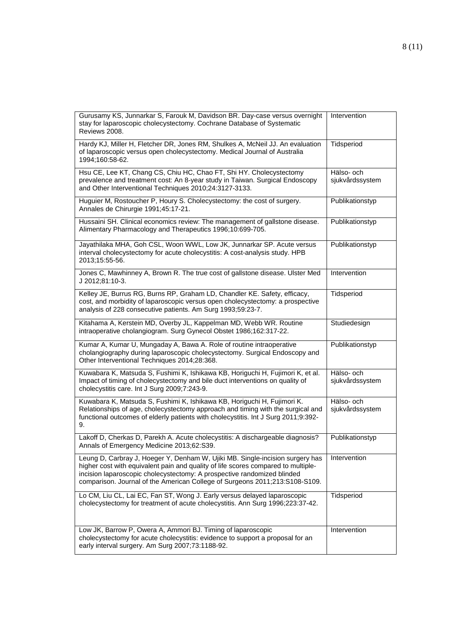| Gurusamy KS, Junnarkar S, Farouk M, Davidson BR. Day-case versus overnight<br>stay for laparoscopic cholecystectomy. Cochrane Database of Systematic<br>Reviews 2008.                                                                                                                                                        | Intervention                  |
|------------------------------------------------------------------------------------------------------------------------------------------------------------------------------------------------------------------------------------------------------------------------------------------------------------------------------|-------------------------------|
| Hardy KJ, Miller H, Fletcher DR, Jones RM, Shulkes A, McNeil JJ. An evaluation<br>of laparoscopic versus open cholecystectomy. Medical Journal of Australia<br>1994;160:58-62.                                                                                                                                               | Tidsperiod                    |
| Hsu CE, Lee KT, Chang CS, Chiu HC, Chao FT, Shi HY. Cholecystectomy<br>prevalence and treatment cost: An 8-year study in Taiwan. Surgical Endoscopy<br>and Other Interventional Techniques 2010;24:3127-3133.                                                                                                                | Hälso- och<br>sjukvårdssystem |
| Huguier M, Rostoucher P, Houry S. Cholecystectomy: the cost of surgery.<br>Annales de Chirurgie 1991;45:17-21.                                                                                                                                                                                                               | Publikationstyp               |
| Hussaini SH. Clinical economics review: The management of gallstone disease.<br>Alimentary Pharmacology and Therapeutics 1996;10:699-705.                                                                                                                                                                                    | Publikationstyp               |
| Jayathilaka MHA, Goh CSL, Woon WWL, Low JK, Junnarkar SP. Acute versus<br>interval cholecystectomy for acute cholecystitis: A cost-analysis study. HPB<br>2013;15:55-56.                                                                                                                                                     | Publikationstyp               |
| Jones C, Mawhinney A, Brown R. The true cost of gallstone disease. Ulster Med<br>J 2012;81:10-3.                                                                                                                                                                                                                             | Intervention                  |
| Kelley JE, Burrus RG, Burns RP, Graham LD, Chandler KE. Safety, efficacy,<br>cost, and morbidity of laparoscopic versus open cholecystectomy: a prospective<br>analysis of 228 consecutive patients. Am Surg 1993;59:23-7.                                                                                                   | Tidsperiod                    |
| Kitahama A, Kerstein MD, Overby JL, Kappelman MD, Webb WR. Routine<br>intraoperative cholangiogram. Surg Gynecol Obstet 1986;162:317-22.                                                                                                                                                                                     | Studiedesign                  |
| Kumar A, Kumar U, Mungaday A, Bawa A. Role of routine intraoperative<br>cholangiography during laparoscopic cholecystectomy. Surgical Endoscopy and<br>Other Interventional Techniques 2014;28:368.                                                                                                                          | Publikationstyp               |
| Kuwabara K, Matsuda S, Fushimi K, Ishikawa KB, Horiguchi H, Fujimori K, et al.<br>Impact of timing of cholecystectomy and bile duct interventions on quality of<br>cholecystitis care. Int J Surg 2009;7:243-9.                                                                                                              | Hälso- och<br>sjukvårdssystem |
| Kuwabara K, Matsuda S, Fushimi K, Ishikawa KB, Horiguchi H, Fujimori K.<br>Relationships of age, cholecystectomy approach and timing with the surgical and<br>functional outcomes of elderly patients with cholecystitis. Int J Surg 2011;9:392-<br>9.                                                                       | Hälso- och<br>sjukvårdssystem |
| Lakoff D, Cherkas D, Parekh A. Acute cholecystitis: A dischargeable diagnosis?<br>Annals of Emergency Medicine 2013;62:S39.                                                                                                                                                                                                  | Publikationstyp               |
| Leung D, Carbray J, Hoeger Y, Denham W, Ujiki MB. Single-incision surgery has<br>higher cost with equivalent pain and quality of life scores compared to multiple-<br>incision laparoscopic cholecystectomy: A prospective randomized blinded<br>comparison. Journal of the American College of Surgeons 2011;213:S108-S109. | Intervention                  |
| Lo CM, Liu CL, Lai EC, Fan ST, Wong J. Early versus delayed laparoscopic<br>cholecystectomy for treatment of acute cholecystitis. Ann Surg 1996;223:37-42.                                                                                                                                                                   | Tidsperiod                    |
| Low JK, Barrow P, Owera A, Ammori BJ. Timing of laparoscopic<br>cholecystectomy for acute cholecystitis: evidence to support a proposal for an<br>early interval surgery. Am Surg 2007;73:1188-92.                                                                                                                           | Intervention                  |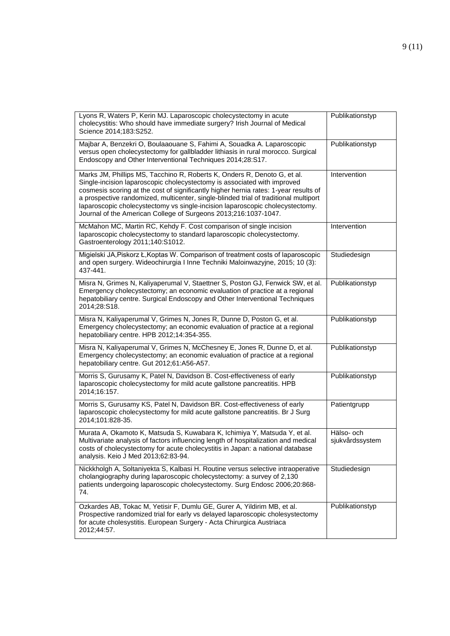| Lyons R, Waters P, Kerin MJ. Laparoscopic cholecystectomy in acute<br>cholecystitis: Who should have immediate surgery? Irish Journal of Medical<br>Science 2014;183:S252.                                                                                                                                                                                                                                                                                                               | Publikationstyp               |
|------------------------------------------------------------------------------------------------------------------------------------------------------------------------------------------------------------------------------------------------------------------------------------------------------------------------------------------------------------------------------------------------------------------------------------------------------------------------------------------|-------------------------------|
| Majbar A, Benzekri O, Boulaaouane S, Fahimi A, Souadka A. Laparoscopic<br>versus open cholecystectomy for gallbladder lithiasis in rural morocco. Surgical<br>Endoscopy and Other Interventional Techniques 2014;28:S17.                                                                                                                                                                                                                                                                 | Publikationstyp               |
| Marks JM, Phillips MS, Tacchino R, Roberts K, Onders R, Denoto G, et al.<br>Single-incision laparoscopic cholecystectomy is associated with improved<br>cosmesis scoring at the cost of significantly higher hernia rates: 1-year results of<br>a prospective randomized, multicenter, single-blinded trial of traditional multiport<br>laparoscopic cholecystectomy vs single-incision laparoscopic cholecystectomy.<br>Journal of the American College of Surgeons 2013;216:1037-1047. | Intervention                  |
| McMahon MC, Martin RC, Kehdy F. Cost comparison of single incision<br>laparoscopic cholecystectomy to standard laparoscopic cholecystectomy.<br>Gastroenterology 2011;140:S1012.                                                                                                                                                                                                                                                                                                         | Intervention                  |
| Migielski JA, Piskorz Ł, Koptas W. Comparison of treatment costs of laparoscopic<br>and open surgery. Wideochirurgia I Inne Techniki Maloinwazyjne, 2015; 10 (3):<br>437-441.                                                                                                                                                                                                                                                                                                            | Studiedesign                  |
| Misra N, Grimes N, Kaliyaperumal V, Staettner S, Poston GJ, Fenwick SW, et al.<br>Emergency cholecystectomy; an economic evaluation of practice at a regional<br>hepatobiliary centre. Surgical Endoscopy and Other Interventional Techniques<br>2014;28:S18.                                                                                                                                                                                                                            | Publikationstyp               |
| Misra N, Kaliyaperumal V, Grimes N, Jones R, Dunne D, Poston G, et al.<br>Emergency cholecystectomy; an economic evaluation of practice at a regional<br>hepatobiliary centre. HPB 2012;14:354-355.                                                                                                                                                                                                                                                                                      | Publikationstyp               |
| Misra N, Kaliyaperumal V, Grimes N, McChesney E, Jones R, Dunne D, et al.<br>Emergency cholecystectomy; an economic evaluation of practice at a regional<br>hepatobiliary centre. Gut 2012;61:A56-A57.                                                                                                                                                                                                                                                                                   | Publikationstyp               |
| Morris S, Gurusamy K, Patel N, Davidson B. Cost-effectiveness of early<br>laparoscopic cholecystectomy for mild acute gallstone pancreatitis. HPB<br>2014;16:157.                                                                                                                                                                                                                                                                                                                        | Publikationstyp               |
| Morris S, Gurusamy KS, Patel N, Davidson BR. Cost-effectiveness of early<br>laparoscopic cholecystectomy for mild acute gallstone pancreatitis. Br J Surg<br>2014;101:828-35.                                                                                                                                                                                                                                                                                                            | Patientgrupp                  |
| Murata A, Okamoto K, Matsuda S, Kuwabara K, Ichimiya Y, Matsuda Y, et al.<br>Multivariate analysis of factors influencing length of hospitalization and medical<br>costs of cholecystectomy for acute cholecystitis in Japan: a national database<br>analysis. Keio J Med 2013;62:83-94.                                                                                                                                                                                                 | Hälso- och<br>sjukvårdssystem |
| Nickkholgh A, Soltaniyekta S, Kalbasi H. Routine versus selective intraoperative<br>cholangiography during laparoscopic cholecystectomy: a survey of 2,130<br>patients undergoing laparoscopic cholecystectomy. Surg Endosc 2006;20:868-<br>74.                                                                                                                                                                                                                                          | Studiedesign                  |
| Ozkardes AB, Tokac M, Yetisir F, Dumlu GE, Gurer A, Yildirim MB, et al.<br>Prospective randomized trial for early vs delayed laparoscopic cholesystectomy<br>for acute cholesystitis. European Surgery - Acta Chirurgica Austriaca<br>2012;44:57.                                                                                                                                                                                                                                        | Publikationstyp               |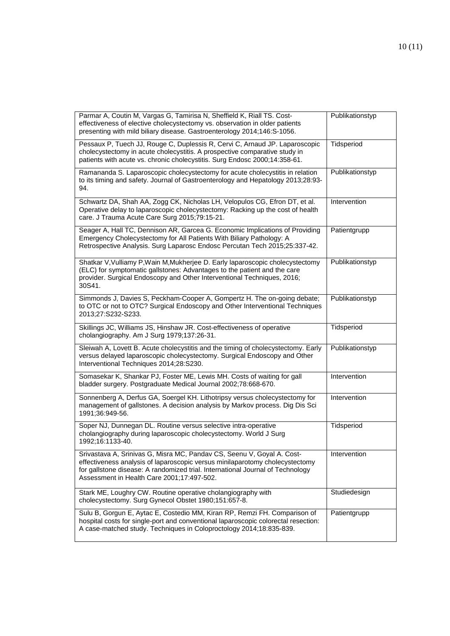| Parmar A, Coutin M, Vargas G, Tamirisa N, Sheffield K, Riall TS. Cost-<br>effectiveness of elective cholecystectomy vs. observation in older patients<br>presenting with mild biliary disease. Gastroenterology 2014;146:S-1056.                                                       | Publikationstyp |
|----------------------------------------------------------------------------------------------------------------------------------------------------------------------------------------------------------------------------------------------------------------------------------------|-----------------|
| Pessaux P, Tuech JJ, Rouge C, Duplessis R, Cervi C, Arnaud JP. Laparoscopic<br>cholecystectomy in acute cholecystitis. A prospective comparative study in<br>patients with acute vs. chronic cholecystitis. Surg Endosc 2000;14:358-61.                                                | Tidsperiod      |
| Ramananda S. Laparoscopic cholecystectomy for acute cholecystitis in relation<br>to its timing and safety. Journal of Gastroenterology and Hepatology 2013;28:93-<br>94.                                                                                                               | Publikationstyp |
| Schwartz DA, Shah AA, Zogg CK, Nicholas LH, Velopulos CG, Efron DT, et al.<br>Operative delay to laparoscopic cholecystectomy: Racking up the cost of health<br>care. J Trauma Acute Care Surg 2015;79:15-21.                                                                          | Intervention    |
| Seager A, Hall TC, Dennison AR, Garcea G. Economic Implications of Providing<br>Emergency Cholecystectomy for All Patients With Biliary Pathology: A<br>Retrospective Analysis. Surg Laparosc Endosc Percutan Tech 2015;25:337-42.                                                     | Patientgrupp    |
| Shatkar V, Vulliamy P, Wain M, Mukherjee D. Early laparoscopic cholecystectomy<br>(ELC) for symptomatic gallstones: Advantages to the patient and the care<br>provider. Surgical Endoscopy and Other Interventional Techniques, 2016;<br>30S41.                                        | Publikationstyp |
| Simmonds J, Davies S, Peckham-Cooper A, Gompertz H. The on-going debate;<br>to OTC or not to OTC? Surgical Endoscopy and Other Interventional Techniques<br>2013;27:S232-S233.                                                                                                         | Publikationstyp |
| Skillings JC, Williams JS, Hinshaw JR. Cost-effectiveness of operative                                                                                                                                                                                                                 | Tidsperiod      |
| cholangiography. Am J Surg 1979;137:26-31.                                                                                                                                                                                                                                             |                 |
| Sleiwah A, Lovett B. Acute cholecystitis and the timing of cholecystectomy. Early<br>versus delayed laparoscopic cholecystectomy. Surgical Endoscopy and Other<br>Interventional Techniques 2014;28:S230.                                                                              | Publikationstyp |
| Somasekar K, Shankar PJ, Foster ME, Lewis MH. Costs of waiting for gall<br>bladder surgery. Postgraduate Medical Journal 2002;78:668-670.                                                                                                                                              | Intervention    |
| Sonnenberg A, Derfus GA, Soergel KH. Lithotripsy versus cholecystectomy for<br>management of gallstones. A decision analysis by Markov process. Dig Dis Sci<br>1991;36:949-56.                                                                                                         | Intervention    |
| Soper NJ, Dunnegan DL. Routine versus selective intra-operative<br>cholangiography during laparoscopic cholecystectomy. World J Surg<br>1992;16:1133-40.                                                                                                                               | Tidsperiod      |
| Srivastava A, Srinivas G, Misra MC, Pandav CS, Seenu V, Goyal A. Cost-<br>effectiveness analysis of laparoscopic versus minilaparotomy cholecystectomy<br>for gallstone disease: A randomized trial. International Journal of Technology<br>Assessment in Health Care 2001;17:497-502. | Intervention    |
| Stark ME, Loughry CW. Routine operative cholangiography with<br>cholecystectomy. Surg Gynecol Obstet 1980;151:657-8.                                                                                                                                                                   | Studiedesign    |